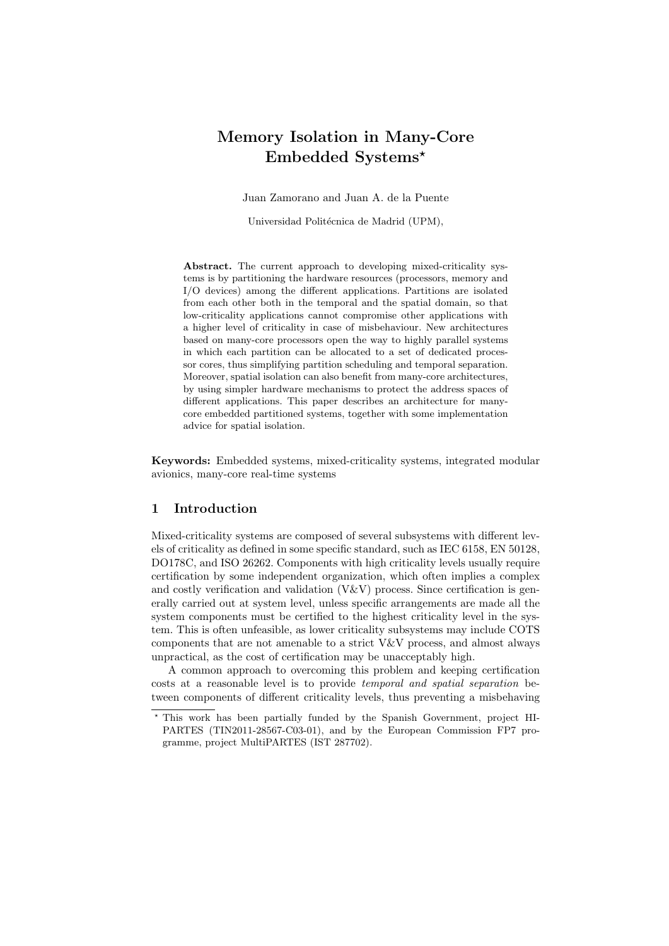# Memory Isolation in Many-Core Embedded Systems?

Juan Zamorano and Juan A. de la Puente

Universidad Politécnica de Madrid (UPM),

Abstract. The current approach to developing mixed-criticality systems is by partitioning the hardware resources (processors, memory and I/O devices) among the different applications. Partitions are isolated from each other both in the temporal and the spatial domain, so that low-criticality applications cannot compromise other applications with a higher level of criticality in case of misbehaviour. New architectures based on many-core processors open the way to highly parallel systems in which each partition can be allocated to a set of dedicated processor cores, thus simplifying partition scheduling and temporal separation. Moreover, spatial isolation can also benefit from many-core architectures, by using simpler hardware mechanisms to protect the address spaces of different applications. This paper describes an architecture for manycore embedded partitioned systems, together with some implementation advice for spatial isolation.

Keywords: Embedded systems, mixed-criticality systems, integrated modular avionics, many-core real-time systems

# 1 Introduction

Mixed-criticality systems are composed of several subsystems with different levels of criticality as defined in some specific standard, such as IEC 6158, EN 50128, DO178C, and ISO 26262. Components with high criticality levels usually require certification by some independent organization, which often implies a complex and costly verification and validation  $(V&V)$  process. Since certification is generally carried out at system level, unless specific arrangements are made all the system components must be certified to the highest criticality level in the system. This is often unfeasible, as lower criticality subsystems may include COTS components that are not amenable to a strict V&V process, and almost always unpractical, as the cost of certification may be unacceptably high.

A common approach to overcoming this problem and keeping certification costs at a reasonable level is to provide temporal and spatial separation between components of different criticality levels, thus preventing a misbehaving

<sup>?</sup> This work has been partially funded by the Spanish Government, project HI-PARTES (TIN2011-28567-C03-01), and by the European Commission FP7 programme, project MultiPARTES (IST 287702).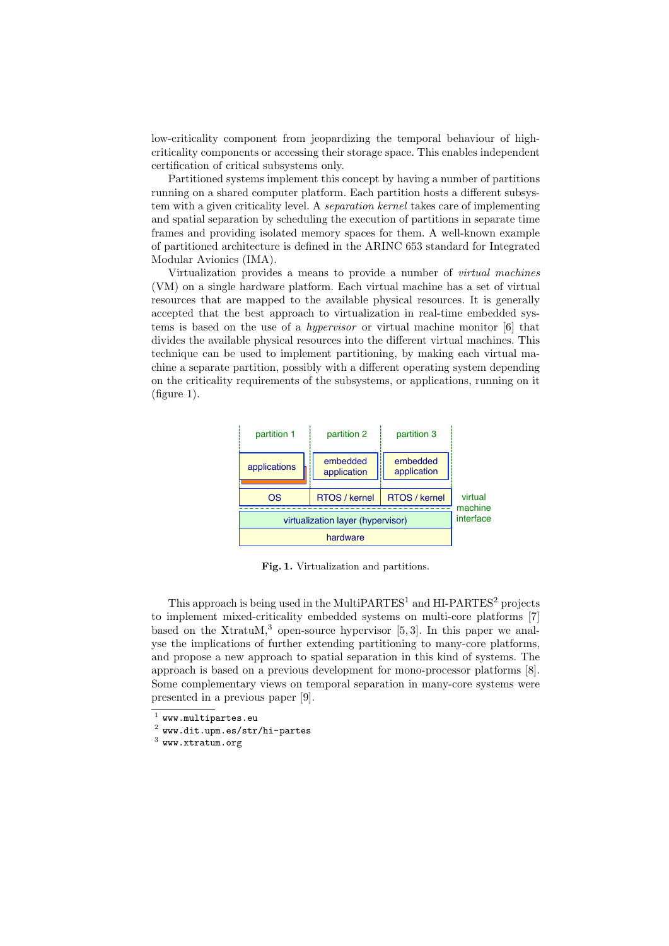low-criticality component from jeopardizing the temporal behaviour of highcriticality components or accessing their storage space. This enables independent certification of critical subsystems only.

Partitioned systems implement this concept by having a number of partitions running on a shared computer platform. Each partition hosts a different subsystem with a given criticality level. A separation kernel takes care of implementing and spatial separation by scheduling the execution of partitions in separate time frames and providing isolated memory spaces for them. A well-known example of partitioned architecture is defined in the ARINC 653 standard for Integrated Modular Avionics (IMA).

Virtualization provides a means to provide a number of virtual machines (VM) on a single hardware platform. Each virtual machine has a set of virtual resources that are mapped to the available physical resources. It is generally accepted that the best approach to virtualization in real-time embedded systems is based on the use of a hypervisor or virtual machine monitor [6] that divides the available physical resources into the different virtual machines. This technique can be used to implement partitioning, by making each virtual machine a separate partition, possibly with a different operating system depending on the criticality requirements of the subsystems, or applications, running on it (figure 1).



Fig. 1. Virtualization and partitions.

This approach is being used in the MultiPARTES<sup>1</sup> and HI-PARTES<sup>2</sup> projects to implement mixed-criticality embedded systems on multi-core platforms [7] based on the XtratuM,<sup>3</sup> open-source hypervisor  $[5, 3]$ . In this paper we analyse the implications of further extending partitioning to many-core platforms, and propose a new approach to spatial separation in this kind of systems. The approach is based on a previous development for mono-processor platforms [8]. Some complementary views on temporal separation in many-core systems were presented in a previous paper [9].

 $^{\rm 1}$  www.multipartes.eu

 $^2$  www.dit.upm.es/str/hi-partes

 $^3$  www.xtratum.org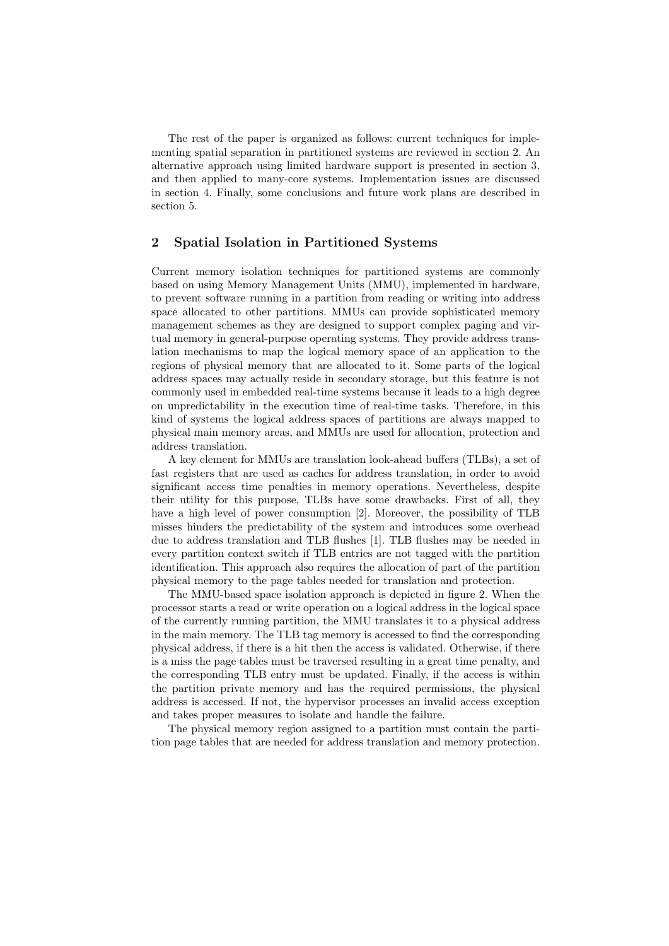The rest of the paper is organized as follows: current techniques for implementing spatial separation in partitioned systems are reviewed in section 2. An alternative approach using limited hardware support is presented in section 3, and then applied to many-core systems. Implementation issues are discussed in section 4. Finally, some conclusions and future work plans are described in section 5.

## 2 Spatial Isolation in Partitioned Systems

Current memory isolation techniques for partitioned systems are commonly based on using Memory Management Units (MMU), implemented in hardware, to prevent software running in a partition from reading or writing into address space allocated to other partitions. MMUs can provide sophisticated memory management schemes as they are designed to support complex paging and virtual memory in general-purpose operating systems. They provide address translation mechanisms to map the logical memory space of an application to the regions of physical memory that are allocated to it. Some parts of the logical address spaces may actually reside in secondary storage, but this feature is not commonly used in embedded real-time systems because it leads to a high degree on unpredictability in the execution time of real-time tasks. Therefore, in this kind of systems the logical address spaces of partitions are always mapped to physical main memory areas, and MMUs are used for allocation, protection and address translation.

A key element for MMUs are translation look-ahead buffers (TLBs), a set of fast registers that are used as caches for address translation, in order to avoid significant access time penalties in memory operations. Nevertheless, despite their utility for this purpose, TLBs have some drawbacks. First of all, they have a high level of power consumption [2]. Moreover, the possibility of TLB misses hinders the predictability of the system and introduces some overhead due to address translation and TLB flushes [1]. TLB flushes may be needed in every partition context switch if TLB entries are not tagged with the partition identification. This approach also requires the allocation of part of the partition physical memory to the page tables needed for translation and protection.

The MMU-based space isolation approach is depicted in figure 2. When the processor starts a read or write operation on a logical address in the logical space of the currently running partition, the MMU translates it to a physical address in the main memory. The TLB tag memory is accessed to find the corresponding physical address, if there is a hit then the access is validated. Otherwise, if there is a miss the page tables must be traversed resulting in a great time penalty, and the corresponding TLB entry must be updated. Finally, if the access is within the partition private memory and has the required permissions, the physical address is accessed. If not, the hypervisor processes an invalid access exception and takes proper measures to isolate and handle the failure.

The physical memory region assigned to a partition must contain the partition page tables that are needed for address translation and memory protection.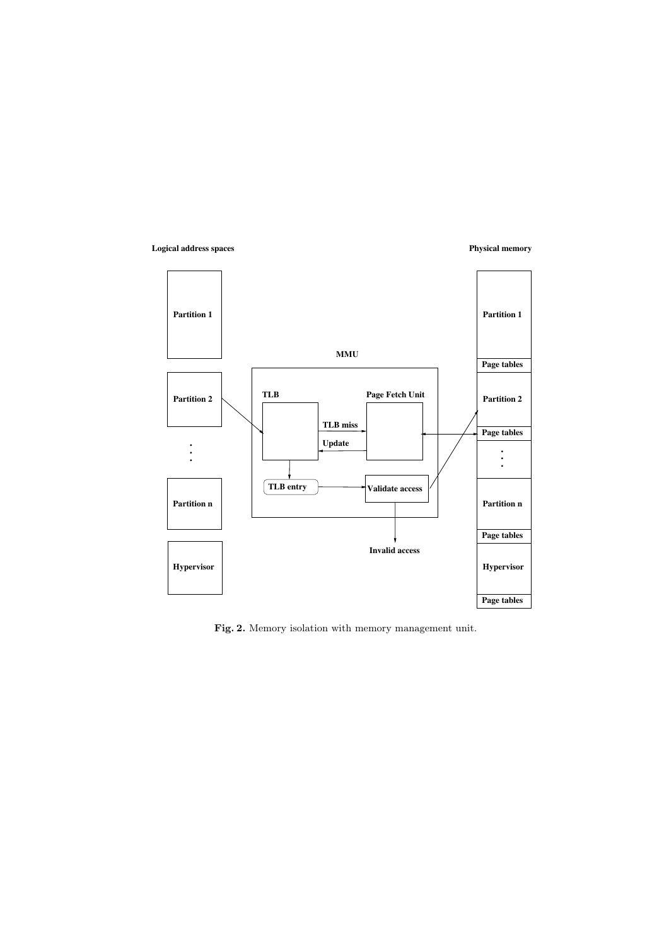## **Logical address spaces**

## **Physical memory**



Fig. 2. Memory isolation with memory management unit.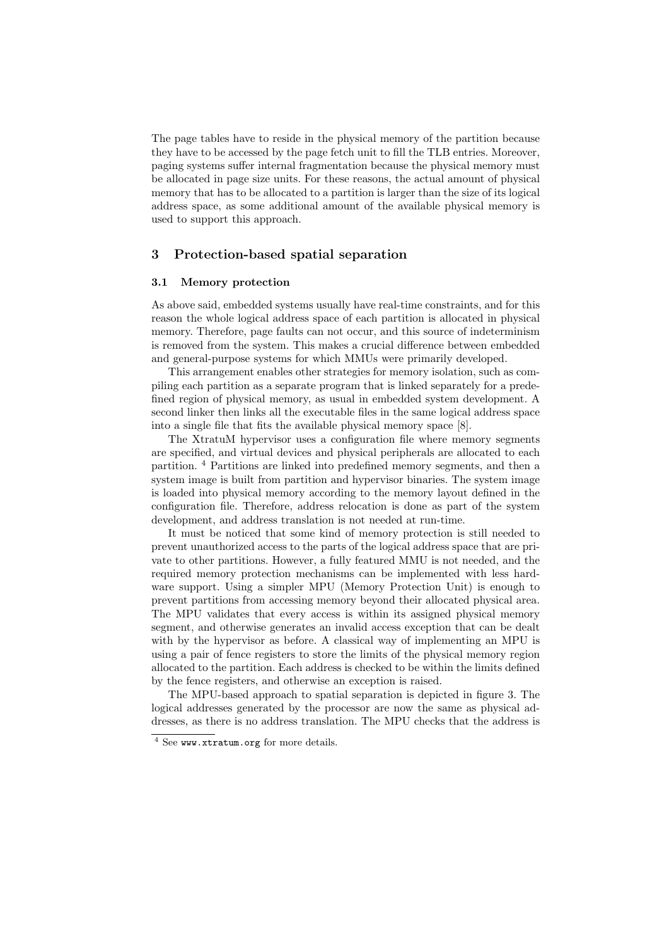The page tables have to reside in the physical memory of the partition because they have to be accessed by the page fetch unit to fill the TLB entries. Moreover, paging systems suffer internal fragmentation because the physical memory must be allocated in page size units. For these reasons, the actual amount of physical memory that has to be allocated to a partition is larger than the size of its logical address space, as some additional amount of the available physical memory is used to support this approach.

## 3 Protection-based spatial separation

#### 3.1 Memory protection

As above said, embedded systems usually have real-time constraints, and for this reason the whole logical address space of each partition is allocated in physical memory. Therefore, page faults can not occur, and this source of indeterminism is removed from the system. This makes a crucial difference between embedded and general-purpose systems for which MMUs were primarily developed.

This arrangement enables other strategies for memory isolation, such as compiling each partition as a separate program that is linked separately for a predefined region of physical memory, as usual in embedded system development. A second linker then links all the executable files in the same logical address space into a single file that fits the available physical memory space [8].

The XtratuM hypervisor uses a configuration file where memory segments are specified, and virtual devices and physical peripherals are allocated to each partition. <sup>4</sup> Partitions are linked into predefined memory segments, and then a system image is built from partition and hypervisor binaries. The system image is loaded into physical memory according to the memory layout defined in the configuration file. Therefore, address relocation is done as part of the system development, and address translation is not needed at run-time.

It must be noticed that some kind of memory protection is still needed to prevent unauthorized access to the parts of the logical address space that are private to other partitions. However, a fully featured MMU is not needed, and the required memory protection mechanisms can be implemented with less hardware support. Using a simpler MPU (Memory Protection Unit) is enough to prevent partitions from accessing memory beyond their allocated physical area. The MPU validates that every access is within its assigned physical memory segment, and otherwise generates an invalid access exception that can be dealt with by the hypervisor as before. A classical way of implementing an MPU is using a pair of fence registers to store the limits of the physical memory region allocated to the partition. Each address is checked to be within the limits defined by the fence registers, and otherwise an exception is raised.

The MPU-based approach to spatial separation is depicted in figure 3. The logical addresses generated by the processor are now the same as physical addresses, as there is no address translation. The MPU checks that the address is

<sup>4</sup> See www.xtratum.org for more details.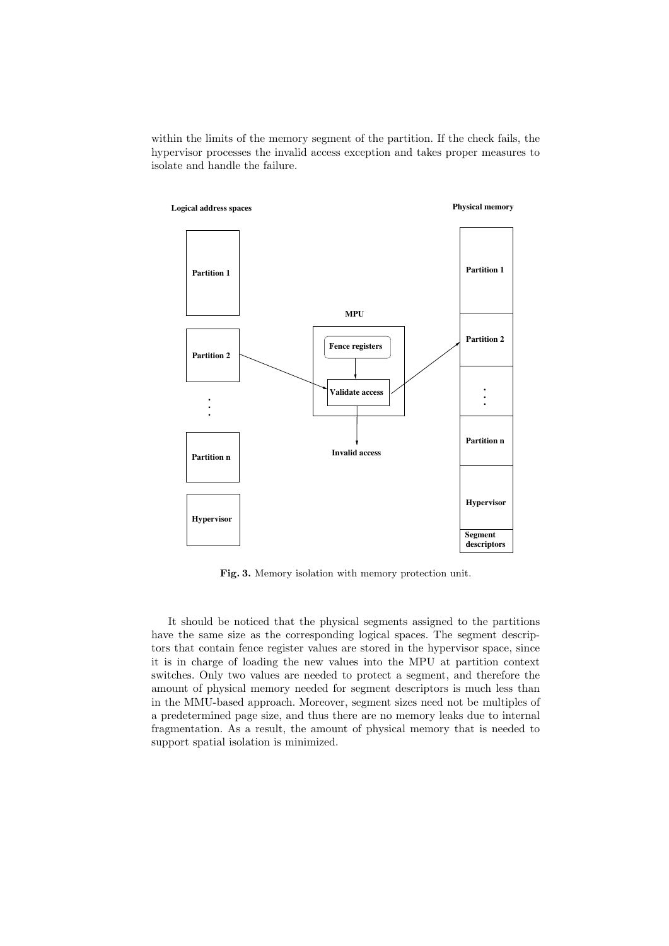within the limits of the memory segment of the partition. If the check fails, the hypervisor processes the invalid access exception and takes proper measures to isolate and handle the failure.



Fig. 3. Memory isolation with memory protection unit.

It should be noticed that the physical segments assigned to the partitions have the same size as the corresponding logical spaces. The segment descriptors that contain fence register values are stored in the hypervisor space, since it is in charge of loading the new values into the MPU at partition context switches. Only two values are needed to protect a segment, and therefore the amount of physical memory needed for segment descriptors is much less than in the MMU-based approach. Moreover, segment sizes need not be multiples of a predetermined page size, and thus there are no memory leaks due to internal fragmentation. As a result, the amount of physical memory that is needed to support spatial isolation is minimized.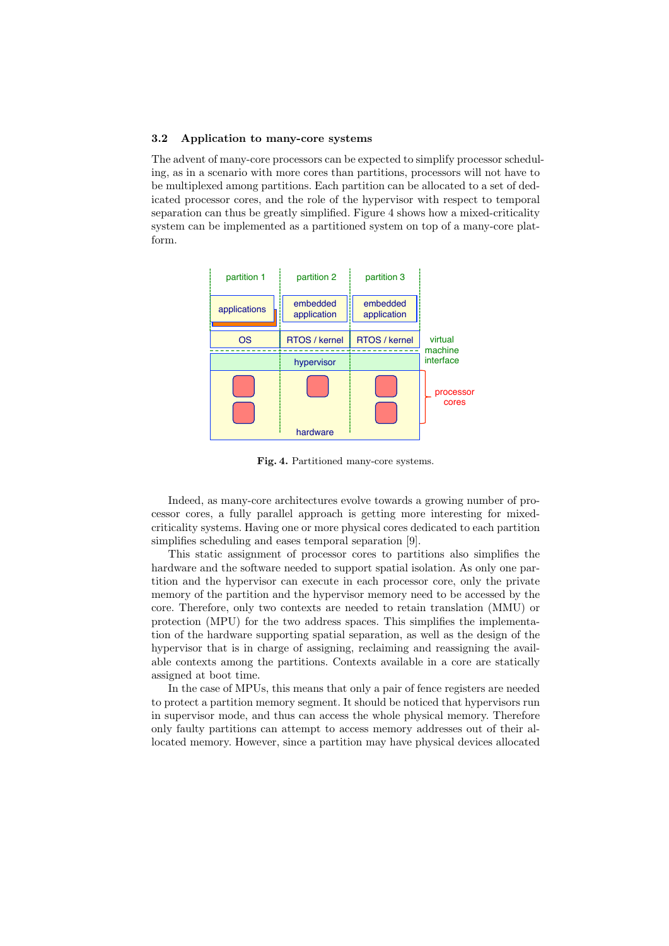#### 3.2 Application to many-core systems

The advent of many-core processors can be expected to simplify processor scheduling, as in a scenario with more cores than partitions, processors will not have to be multiplexed among partitions. Each partition can be allocated to a set of dedicated processor cores, and the role of the hypervisor with respect to temporal separation can thus be greatly simplified. Figure 4 shows how a mixed-criticality system can be implemented as a partitioned system on top of a many-core platform.



Fig. 4. Partitioned many-core systems.

Indeed, as many-core architectures evolve towards a growing number of processor cores, a fully parallel approach is getting more interesting for mixedcriticality systems. Having one or more physical cores dedicated to each partition simplifies scheduling and eases temporal separation [9].

This static assignment of processor cores to partitions also simplifies the hardware and the software needed to support spatial isolation. As only one partition and the hypervisor can execute in each processor core, only the private memory of the partition and the hypervisor memory need to be accessed by the core. Therefore, only two contexts are needed to retain translation (MMU) or protection (MPU) for the two address spaces. This simplifies the implementation of the hardware supporting spatial separation, as well as the design of the hypervisor that is in charge of assigning, reclaiming and reassigning the available contexts among the partitions. Contexts available in a core are statically assigned at boot time.

In the case of MPUs, this means that only a pair of fence registers are needed to protect a partition memory segment. It should be noticed that hypervisors run in supervisor mode, and thus can access the whole physical memory. Therefore only faulty partitions can attempt to access memory addresses out of their allocated memory. However, since a partition may have physical devices allocated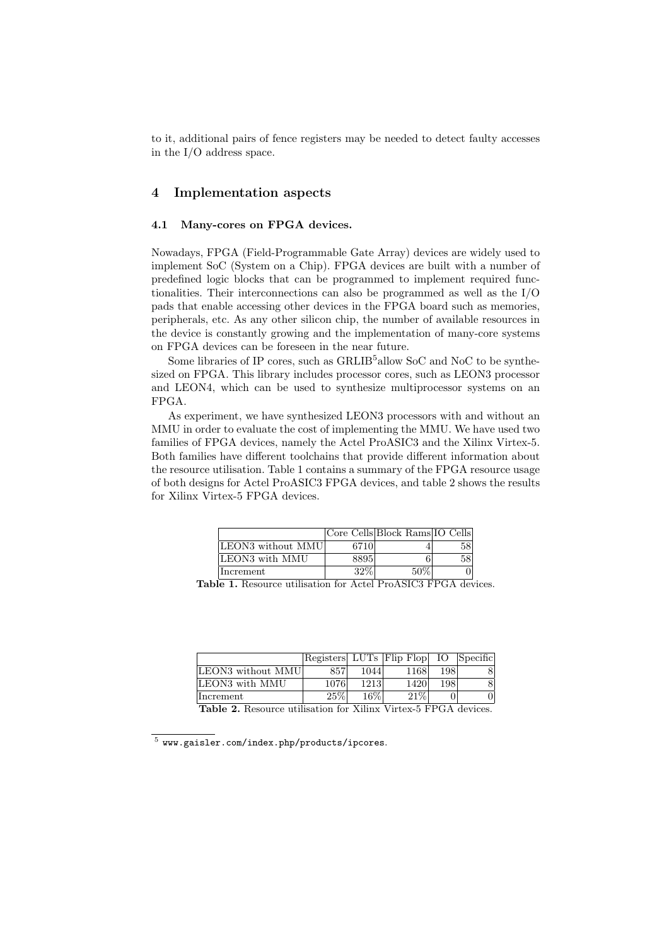to it, additional pairs of fence registers may be needed to detect faulty accesses in the I/O address space.

## 4 Implementation aspects

#### 4.1 Many-cores on FPGA devices.

Nowadays, FPGA (Field-Programmable Gate Array) devices are widely used to implement SoC (System on a Chip). FPGA devices are built with a number of predefined logic blocks that can be programmed to implement required functionalities. Their interconnections can also be programmed as well as the I/O pads that enable accessing other devices in the FPGA board such as memories, peripherals, etc. As any other silicon chip, the number of available resources in the device is constantly growing and the implementation of many-core systems on FPGA devices can be foreseen in the near future.

Some libraries of IP cores, such as  $GRLIB<sup>5</sup>$ allow SoC and NoC to be synthesized on FPGA. This library includes processor cores, such as LEON3 processor and LEON4, which can be used to synthesize multiprocessor systems on an FPGA.

As experiment, we have synthesized LEON3 processors with and without an MMU in order to evaluate the cost of implementing the MMU. We have used two families of FPGA devices, namely the Actel ProASIC3 and the Xilinx Virtex-5. Both families have different toolchains that provide different information about the resource utilisation. Table 1 contains a summary of the FPGA resource usage of both designs for Actel ProASIC3 FPGA devices, and table 2 shows the results for Xilinx Virtex-5 FPGA devices.

|                   |      | Core Cells Block Rams IO Cells |    |
|-------------------|------|--------------------------------|----|
| LEON3 without MMU | 6710 |                                | 58 |
| LEON3 with MMU    | 8895 |                                | 58 |
| Increment         | 32\% | 50%                            |    |

Table 1. Resource utilisation for Actel ProASIC3 FPGA devices.

|                   |        |        | Registers LUTs Flip Flop IO Specific |      |   |
|-------------------|--------|--------|--------------------------------------|------|---|
| LEON3 without MMU | 857    | 1044   | 1168                                 | 198  | 8 |
| LEON3 with MMU    | 1076   | 1213   | 1420                                 | 1981 | 8 |
| Increment         | $25\%$ | $16\%$ | 21%                                  |      |   |

Table 2. Resource utilisation for Xilinx Virtex-5 FPGA devices.

 $^5$  www.gaisler.com/index.php/products/ipcores.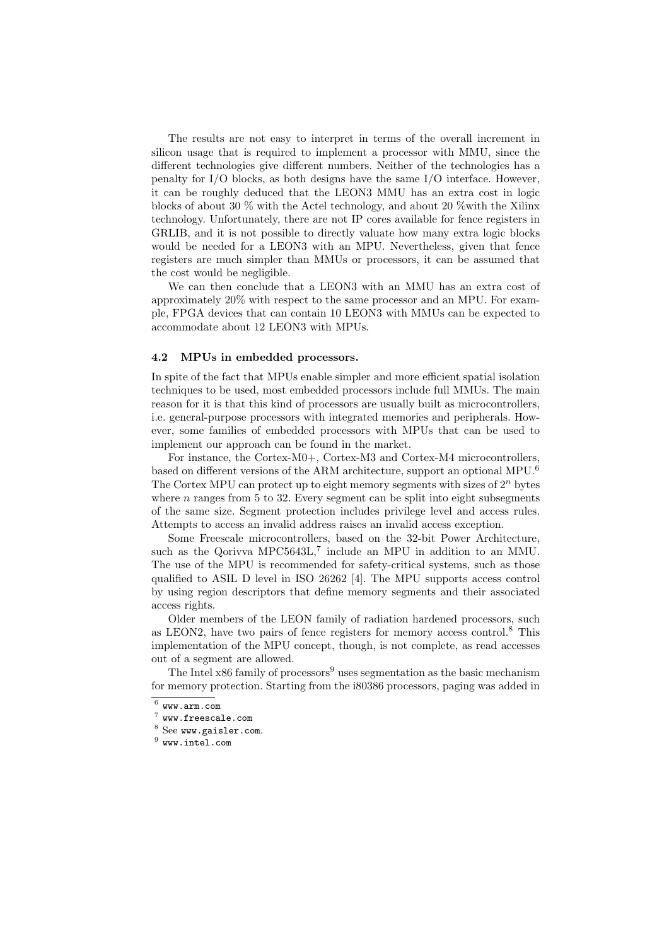The results are not easy to interpret in terms of the overall increment in silicon usage that is required to implement a processor with MMU, since the different technologies give different numbers. Neither of the technologies has a penalty for I/O blocks, as both designs have the same I/O interface. However, it can be roughly deduced that the LEON3 MMU has an extra cost in logic blocks of about 30 % with the Actel technology, and about 20 %with the Xilinx technology. Unfortunately, there are not IP cores available for fence registers in GRLIB, and it is not possible to directly valuate how many extra logic blocks would be needed for a LEON3 with an MPU. Nevertheless, given that fence registers are much simpler than MMUs or processors, it can be assumed that the cost would be negligible.

We can then conclude that a LEON3 with an MMU has an extra cost of approximately 20% with respect to the same processor and an MPU. For example, FPGA devices that can contain 10 LEON3 with MMUs can be expected to accommodate about 12 LEON3 with MPUs.

#### 4.2 MPUs in embedded processors.

In spite of the fact that MPUs enable simpler and more efficient spatial isolation techniques to be used, most embedded processors include full MMUs. The main reason for it is that this kind of processors are usually built as microcontrollers, i.e. general-purpose processors with integrated memories and peripherals. However, some families of embedded processors with MPUs that can be used to implement our approach can be found in the market.

For instance, the Cortex-M0+, Cortex-M3 and Cortex-M4 microcontrollers, based on different versions of the ARM architecture, support an optional MPU.<sup>6</sup> The Cortex MPU can protect up to eight memory segments with sizes of  $2^n$  bytes where  $n$  ranges from 5 to 32. Every segment can be split into eight subsegments of the same size. Segment protection includes privilege level and access rules. Attempts to access an invalid address raises an invalid access exception.

Some Freescale microcontrollers, based on the 32-bit Power Architecture, such as the Qorivva MPC5643L,<sup>7</sup> include an MPU in addition to an MMU. The use of the MPU is recommended for safety-critical systems, such as those qualified to ASIL D level in ISO 26262 [4]. The MPU supports access control by using region descriptors that define memory segments and their associated access rights.

Older members of the LEON family of radiation hardened processors, such as LEON2, have two pairs of fence registers for memory access control.<sup>8</sup> This implementation of the MPU concept, though, is not complete, as read accesses out of a segment are allowed.

The Intel  $x86$  family of processors<sup>9</sup> uses segmentation as the basic mechanism for memory protection. Starting from the i80386 processors, paging was added in

 $^6$  www.arm.com

 $^7$  www.freescale.com

<sup>8</sup> See www.gaisler.com.

 $^9$  www.intel.com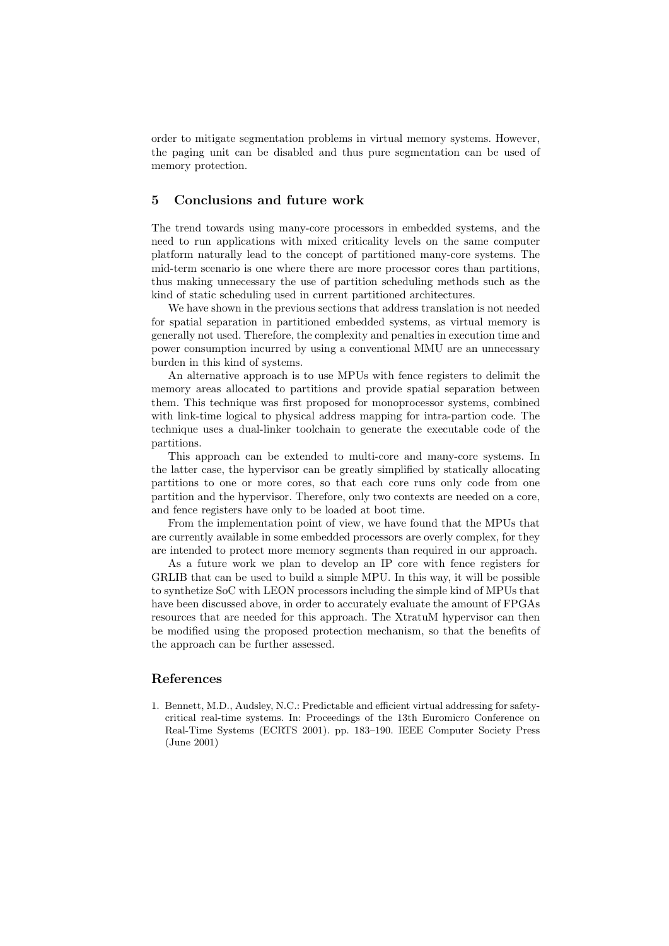order to mitigate segmentation problems in virtual memory systems. However, the paging unit can be disabled and thus pure segmentation can be used of memory protection.

## 5 Conclusions and future work

The trend towards using many-core processors in embedded systems, and the need to run applications with mixed criticality levels on the same computer platform naturally lead to the concept of partitioned many-core systems. The mid-term scenario is one where there are more processor cores than partitions, thus making unnecessary the use of partition scheduling methods such as the kind of static scheduling used in current partitioned architectures.

We have shown in the previous sections that address translation is not needed for spatial separation in partitioned embedded systems, as virtual memory is generally not used. Therefore, the complexity and penalties in execution time and power consumption incurred by using a conventional MMU are an unnecessary burden in this kind of systems.

An alternative approach is to use MPUs with fence registers to delimit the memory areas allocated to partitions and provide spatial separation between them. This technique was first proposed for monoprocessor systems, combined with link-time logical to physical address mapping for intra-partion code. The technique uses a dual-linker toolchain to generate the executable code of the partitions.

This approach can be extended to multi-core and many-core systems. In the latter case, the hypervisor can be greatly simplified by statically allocating partitions to one or more cores, so that each core runs only code from one partition and the hypervisor. Therefore, only two contexts are needed on a core, and fence registers have only to be loaded at boot time.

From the implementation point of view, we have found that the MPUs that are currently available in some embedded processors are overly complex, for they are intended to protect more memory segments than required in our approach.

As a future work we plan to develop an IP core with fence registers for GRLIB that can be used to build a simple MPU. In this way, it will be possible to synthetize SoC with LEON processors including the simple kind of MPUs that have been discussed above, in order to accurately evaluate the amount of FPGAs resources that are needed for this approach. The XtratuM hypervisor can then be modified using the proposed protection mechanism, so that the benefits of the approach can be further assessed.

#### References

1. Bennett, M.D., Audsley, N.C.: Predictable and efficient virtual addressing for safetycritical real-time systems. In: Proceedings of the 13th Euromicro Conference on Real-Time Systems (ECRTS 2001). pp. 183–190. IEEE Computer Society Press (June 2001)